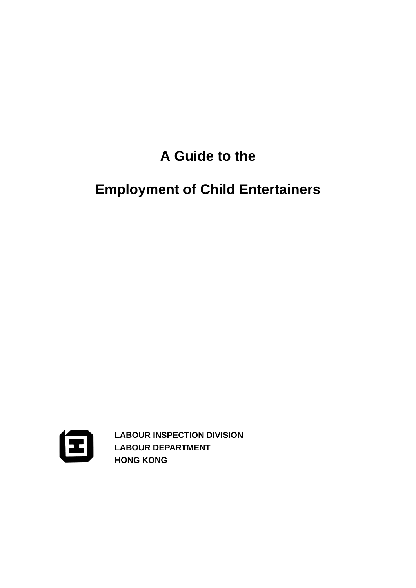## **A Guide to the**

# **Employment of Child Entertainers**



**LABOUR INSPECTION DIVISION LABOUR DEPARTMENT HONG KONG**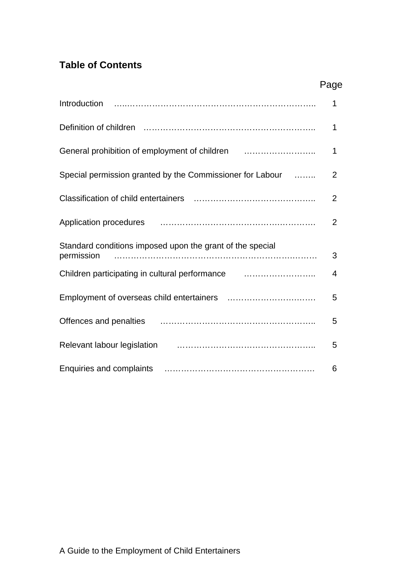## **Table of Contents**

|                                                                                                                      | Page           |
|----------------------------------------------------------------------------------------------------------------------|----------------|
|                                                                                                                      | 1              |
|                                                                                                                      | 1              |
| General prohibition of employment of children                                                                        | 1              |
| Special permission granted by the Commissioner for Labour                                                            | 2              |
|                                                                                                                      | $\overline{2}$ |
| Application procedures <b>contained a material container and a material container and a material container and a</b> | $\overline{2}$ |
| Standard conditions imposed upon the grant of the special<br>permission                                              | 3              |
| Children participating in cultural performance <i>manufation</i> contains the children participating                 | 4              |
|                                                                                                                      | 5              |
|                                                                                                                      | 5              |
| Relevant labour legislation [1] [1] [1] Relevant labour legislation                                                  | 5              |
|                                                                                                                      | 6              |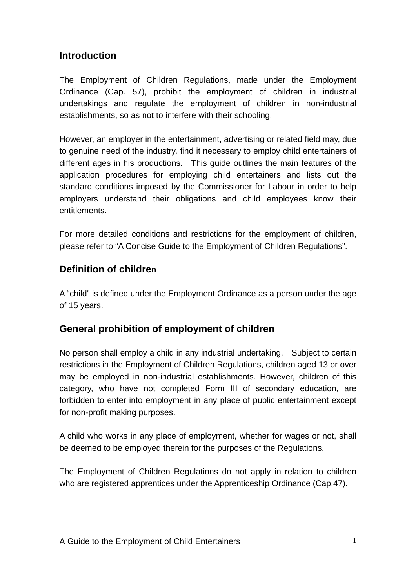## **Introduction**

The Employment of Children Regulations, made under the Employment Ordinance (Cap. 57), prohibit the employment of children in industrial undertakings and regulate the employment of children in non-industrial establishments, so as not to interfere with their schooling.

However, an employer in the entertainment, advertising or related field may, due to genuine need of the industry, find it necessary to employ child entertainers of different ages in his productions. This guide outlines the main features of the application procedures for employing child entertainers and lists out the standard conditions imposed by the Commissioner for Labour in order to help employers understand their obligations and child employees know their entitlements.

For more detailed conditions and restrictions for the employment of children, please refer to "A Concise Guide to the Employment of Children Regulations".

## **Definition of children**

A "child" is defined under the Employment Ordinance as a person under the age of 15 years.

## **General prohibition of employment of children**

No person shall employ a child in any industrial undertaking. Subject to certain restrictions in the Employment of Children Regulations, children aged 13 or over may be employed in non-industrial establishments. However, children of this category, who have not completed Form III of secondary education, are forbidden to enter into employment in any place of public entertainment except for non-profit making purposes.

A child who works in any place of employment, whether for wages or not, shall be deemed to be employed therein for the purposes of the Regulations.

The Employment of Children Regulations do not apply in relation to children who are registered apprentices under the Apprenticeship Ordinance (Cap.47).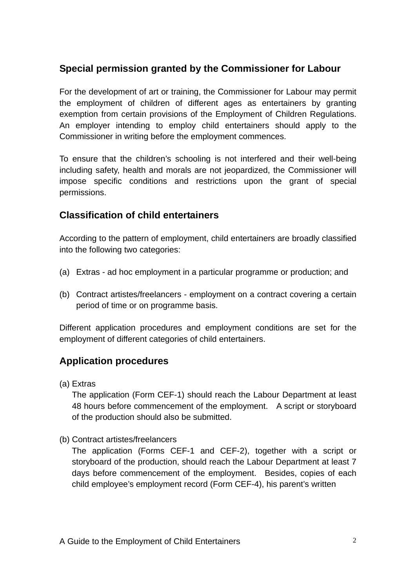## **Special permission granted by the Commissioner for Labour**

For the development of art or training, the Commissioner for Labour may permit the employment of children of different ages as entertainers by granting exemption from certain provisions of the Employment of Children Regulations. An employer intending to employ child entertainers should apply to the Commissioner in writing before the employment commences.

To ensure that the children's schooling is not interfered and their well-being including safety, health and morals are not jeopardized, the Commissioner will impose specific conditions and restrictions upon the grant of special permissions.

## **Classification of child entertainers**

According to the pattern of employment, child entertainers are broadly classified into the following two categories:

- (a) Extras ad hoc employment in a particular programme or production; and
- (b) Contract artistes/freelancers employment on a contract covering a certain period of time or on programme basis.

Different application procedures and employment conditions are set for the employment of different categories of child entertainers.

## **Application procedures**

(a) Extras

The application (Form CEF-1) should reach the Labour Department at least 48 hours before commencement of the employment. A script or storyboard of the production should also be submitted.

(b) Contract artistes/freelancers

The application (Forms CEF-1 and CEF-2), together with a script or storyboard of the production, should reach the Labour Department at least 7 days before commencement of the employment. Besides, copies of each child employee's employment record (Form CEF-4), his parent's written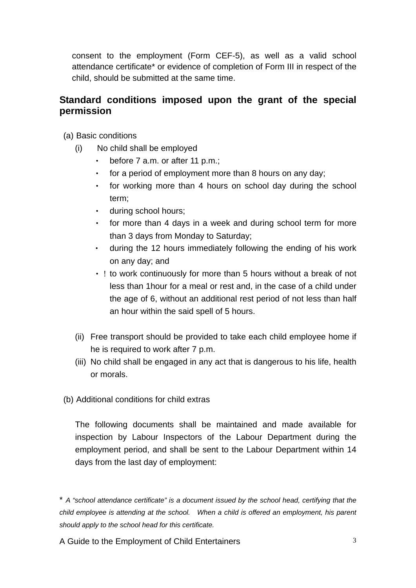consent to the employment (Form CEF-5), as well as a valid school attendance certificate\* or evidence of completion of Form III in respect of the child, should be submitted at the same time.

## **Standard conditions imposed upon the grant of the special permission**

(a) Basic conditions

- (i) No child shall be employed
	- ‧ before 7 a.m. or after 11 p.m.;
	- for a period of employment more than 8 hours on any day;
	- ‧ for working more than 4 hours on school day during the school term;
	- ‧ during school hours;
	- ‧ for more than 4 days in a week and during school term for more than 3 days from Monday to Saturday;
	- ‧ during the 12 hours immediately following the ending of his work on any day; and
	- ! to work continuously for more than 5 hours without a break of not less than 1hour for a meal or rest and, in the case of a child under the age of 6, without an additional rest period of not less than half an hour within the said spell of 5 hours.
- (ii) Free transport should be provided to take each child employee home if he is required to work after 7 p.m.
- (iii) No child shall be engaged in any act that is dangerous to his life, health or morals.
- (b) Additional conditions for child extras

The following documents shall be maintained and made available for inspection by Labour Inspectors of the Labour Department during the employment period, and shall be sent to the Labour Department within 14 days from the last day of employment:

\* *A "school attendance certificate" is a document issued by the school head, certifying that the child employee is attending at the school. When a child is offered an employment, his parent should apply to the school head for this certificate.* 

A Guide to the Employment of Child Entertainers 3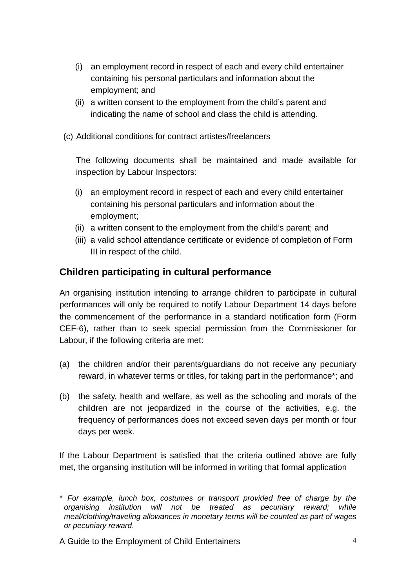- (i) an employment record in respect of each and every child entertainer containing his personal particulars and information about the employment; and
- (ii) a written consent to the employment from the child's parent and indicating the name of school and class the child is attending.
- (c) Additional conditions for contract artistes/freelancers

The following documents shall be maintained and made available for inspection by Labour Inspectors:

- (i) an employment record in respect of each and every child entertainer containing his personal particulars and information about the employment;
- (ii) a written consent to the employment from the child's parent; and
- (iii) a valid school attendance certificate or evidence of completion of Form III in respect of the child.

## **Children participating in cultural performance**

An organising institution intending to arrange children to participate in cultural performances will only be required to notify Labour Department 14 days before the commencement of the performance in a standard notification form (Form CEF-6), rather than to seek special permission from the Commissioner for Labour, if the following criteria are met:

- (a) the children and/or their parents/guardians do not receive any pecuniary reward, in whatever terms or titles, for taking part in the performance\*; and
- (b) the safety, health and welfare, as well as the schooling and morals of the children are not jeopardized in the course of the activities, e.g. the frequency of performances does not exceed seven days per month or four days per week.

met, the organsing institution will be informed in writing that formal application If the Labour Department is satisfied that the criteria outlined above are fully

<sup>\*</sup> For example, lunch box, costumes or transport provided free of charge by the *organising institution will not be treated as pecuniary reward; while meal/clothing/traveling allowances in monetary terms will be counted as part of wages or pecuniary reward*.

A Guide to the Employment of Child Entertainers 4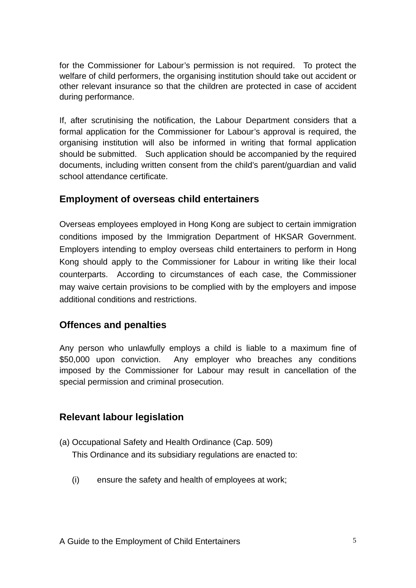for the Commissioner for Labour's permission is not required. To protect the welfare of child performers, the organising institution should take out accident or other relevant insurance so that the children are protected in case of accident during performance.

If, after scrutinising the notification, the Labour Department considers that a formal application for the Commissioner for Labour's approval is required, the organising institution will also be informed in writing that formal application should be submitted. Such application should be accompanied by the required documents, including written consent from the child's parent/guardian and valid school attendance certificate.

## **Employment of overseas child entertainers**

Overseas employees employed in Hong Kong are subject to certain immigration conditions imposed by the Immigration Department of HKSAR Government. Employers intending to employ overseas child entertainers to perform in Hong Kong should apply to the Commissioner for Labour in writing like their local counterparts. According to circumstances of each case, the Commissioner may waive certain provisions to be complied with by the employers and impose additional conditions and restrictions.

## **Offences and penalties**

Any person who unlawfully employs a child is liable to a maximum fine of \$50,000 upon conviction. Any employer who breaches any conditions imposed by the Commissioner for Labour may result in cancellation of the special permission and criminal prosecution.

## **Relevant labour legislation**

- (a) Occupational Safety and Health Ordinance (Cap. 509) This Ordinance and its subsidiary regulations are enacted to:
	- (i) ensure the safety and health of employees at work;